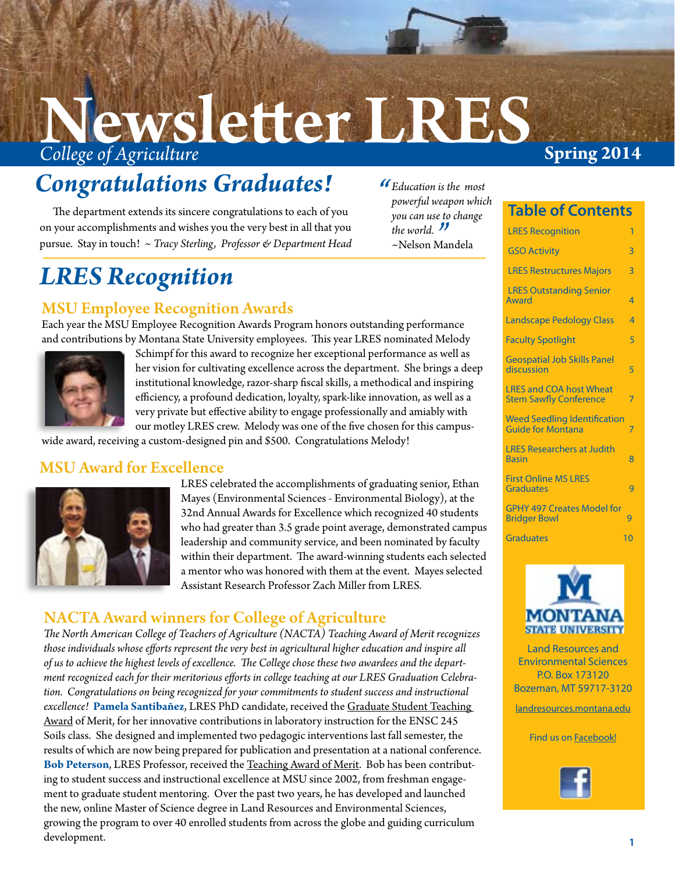# **College of Agriculture Spring 2014** Newsletter LRES

# *Congratulations Graduates!*

The department extends its sincere congratulations to each of you on your accomplishments and wishes you the very best in all that you pursue. Stay in touch! *~ Tracy Sterling, Professor & Department Head* 

### *LRES Recognition*

### MSU Employee Recognition Awards

Each year the MSU Employee Recognition Awards Program honors outstanding performance and contributions by Montana State University employees. This year LRES nominated Melody



Schimpf for this award to recognize her exceptional performance as well as her vision for cultivating excellence across the department. She brings a deep institutional knowledge, razor-sharp fiscal skills, a methodical and inspiring efficiency, a profound dedication, loyalty, spark-like innovation, as well as a very private but effective ability to engage professionally and amiably with our motley LRES crew. Melody was one of the five chosen for this campus-

wide award, receiving a custom-designed pin and \$500. Congratulations Melody!

### MSU Award for Excellence



LRES celebrated the accomplishments of graduating senior, Ethan Mayes (Environmental Sciences - Environmental Biology), at the 32nd Annual Awards for Excellence which recognized 40 students who had greater than 3.5 grade point average, demonstrated campus leadership and community service, and been nominated by faculty within their department. The award-winning students each selected a mentor who was honored with them at the event. Mayes selected Assistant Research Professor Zach Miller from LRES.

### NACTA Award winners for College of Agriculture

*The North American College of Teachers of Agriculture (NACTA) Teaching Award of Merit recognizes those individuals whose efforts represent the very best in agricultural higher education and inspire all of us to achieve the highest levels of excellence. The College chose these two awardees and the department recognized each for their meritorious efforts in college teaching at our LRES Graduation Celebration. Congratulations on being recognized for your commitments to student success and instructional excellence!* **Pamela Santibañez**, LRES PhD candidate, received the Graduate Student Teaching Award of Merit, for her innovative contributions in laboratory instruction for the ENSC 245 Soils class. She designed and implemented two pedagogic interventions last fall semester, the results of which are now being prepared for publication and presentation at a national conference. **Bob Peterson**, LRES Professor, received the Teaching Award of Merit. Bob has been contributing to student success and instructional excellence at MSU since 2002, from freshman engagement to graduate student mentoring. Over the past two years, he has developed and launched the new, online Master of Science degree in Land Resources and Environmental Sciences, growing the program to over 40 enrolled students from across the globe and guiding curriculum development.

#### **Table of Contents**

*Education is the most "powerful weapon which you can use to change* 

*the world. I*<br>~Nelson Ma *~*Nelson Mandela

| <b>LRES Recognition</b>                                         | 1              |
|-----------------------------------------------------------------|----------------|
| <b>GSO Activity</b>                                             | 3              |
| <b>LRES Restructures Majors</b>                                 | $\overline{3}$ |
| <b>LRES Outstanding Senior</b><br>Award                         | $\overline{4}$ |
| <b>Landscape Pedology Class</b>                                 | $\overline{4}$ |
| <b>Faculty Spotlight</b>                                        | 5              |
| <b>Geospatial Job Skills Panel</b><br>discussion                | 5              |
| <b>LRES and COA host Wheat</b><br><b>Stem Sawfly Conference</b> | 7              |
| <b>Weed Seedling Identification</b><br><b>Guide for Montana</b> | 7              |
| <b>LRES Researchers at Judith</b><br><b>Basin</b>               | 8              |
| <b>First Online MS LRES</b><br><b>Graduates</b>                 | q              |
| <b>GPHY 497 Creates Model for</b><br><b>Bridger Bowl</b>        | $\overline{Q}$ |
| Graduates                                                       | $\Omega$       |
|                                                                 |                |



Land Resources and Environmental Sciences P.O. Box 173120 Bozeman, MT 59717-3120

[landresources.montana.edu](http://landresources.montana.edu/)

Find us on [Facebook!](http://www.facebook.com/pages/MSU-Land-Resources-and-Environmental-Sciences/149990385058386?ref=ts&v=wall )

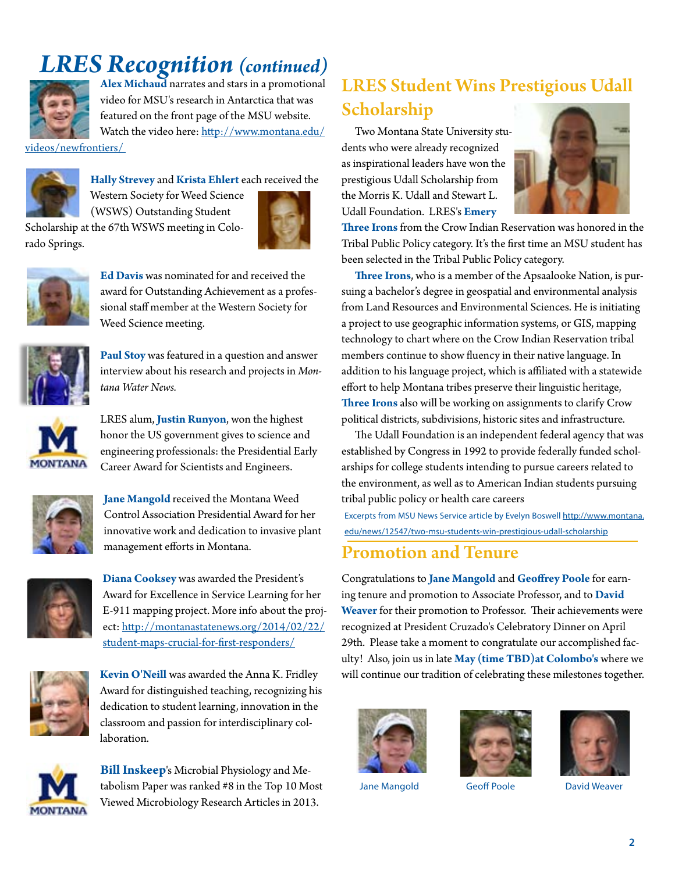### *LRES Recognition (continued)*



**Alex Michaud** narrates and stars in a promotional video for MSU's research in Antarctica that was featured on the front page of the MSU website. Watch the video here: http://www.montana.edu/

videos/newfrontiers/



**Hally Strevey** and **Krista Ehlert** each received the

Western Society for Weed Science

(WSWS) Outstanding Student Scholarship at the 67th WSWS meeting in Colorado Springs.





**Ed Davis** was nominated for and received the award for Outstanding Achievement as a professional staff member at the Western Society for Weed Science meeting.



**Paul Stoy** was featured in a question and answer interview about his research and projects in *Montana Water News.* 



LRES alum, **Justin Runyon**, won the highest honor the US government gives to science and engineering professionals: the Presidential Early Career Award for Scientists and Engineers.



**Jane Mangold** received the Montana Weed Control Association Presidential Award for her innovative work and dedication to invasive plant management efforts in Montana.



**Diana Cooksey** was awarded the President's Award for Excellence in Service Learning for her E-911 mapping project. More info about the project: http://montanastatenews.org/2014/02/22/ student-maps-crucial-for-first-responders/



**Kevin O'Neill** was awarded the Anna K. Fridley Award for distinguished teaching, recognizing his dedication to student learning, innovation in the classroom and passion for interdisciplinary collaboration.



**Bill Inskeep**'s Microbial Physiology and Metabolism Paper was ranked #8 in the Top 10 Most Viewed Microbiology Research Articles in 2013.

### LRES Student Wins Prestigious Udall Scholarship

Two Montana State University students who were already recognized as inspirational leaders have won the prestigious Udall Scholarship from the Morris K. Udall and Stewart L. Udall Foundation. LRES's **Emery** 



**Three Irons** from the Crow Indian Reservation was honored in the Tribal Public Policy category. It's the first time an MSU student has been selected in the Tribal Public Policy category.

**Three Irons**, who is a member of the Apsaalooke Nation, is pursuing a bachelor's degree in geospatial and environmental analysis from Land Resources and Environmental Sciences. He is initiating a project to use geographic information systems, or GIS, mapping technology to chart where on the Crow Indian Reservation tribal members continue to show fluency in their native language. In addition to his language project, which is affiliated with a statewide effort to help Montana tribes preserve their linguistic heritage, **Three Irons** also will be working on assignments to clarify Crow political districts, subdivisions, historic sites and infrastructure.

The Udall Foundation is an independent federal agency that was established by Congress in 1992 to provide federally funded scholarships for college students intending to pursue careers related to the environment, as well as to American Indian students pursuing tribal public policy or health care careers

Excerpts from MSU News Service article by Evelyn Boswell http://www.montana. edu/news/12547/two-msu-students-win-prestigious-udall-scholarship

### Promotion and Tenure

Congratulations to **Jane Mangold** and **Geoffrey Poole** for earning tenure and promotion to Associate Professor, and to **David Weaver** for their promotion to Professor. Their achievements were recognized at President Cruzado's Celebratory Dinner on April 29th. Please take a moment to congratulate our accomplished faculty! Also, join us in late **May (time TBD)at Colombo's** where we will continue our tradition of celebrating these milestones together.







Jane Mangold Geoff Poole David Weaver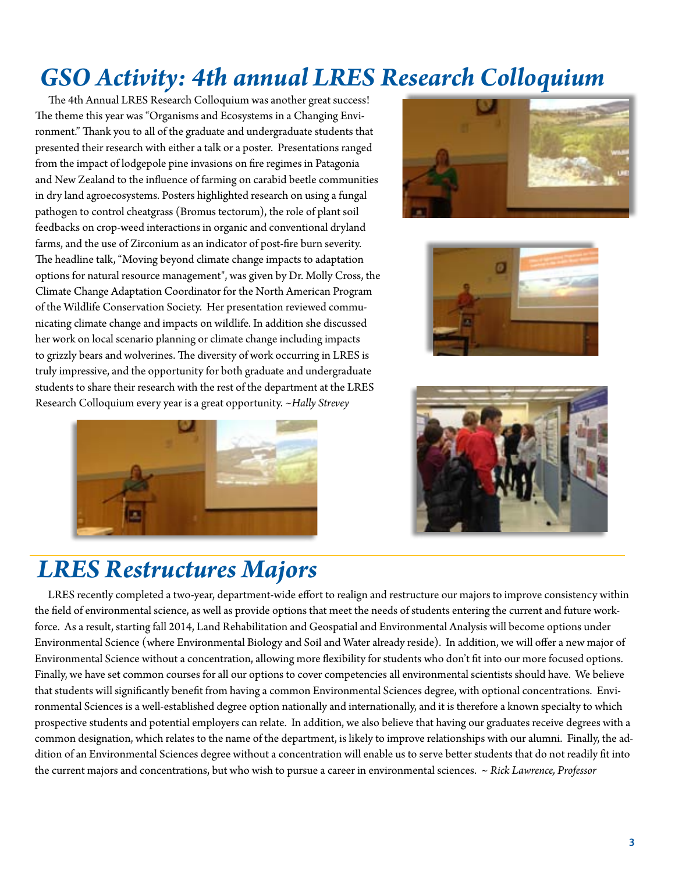# <span id="page-2-0"></span>*GSO Activity: 4th annual LRES Research Colloquium*

The 4th Annual LRES Research Colloquium was another great success! The theme this year was "Organisms and Ecosystems in a Changing Environment." Thank you to all of the graduate and undergraduate students that presented their research with either a talk or a poster. Presentations ranged from the impact of lodgepole pine invasions on fire regimes in Patagonia and New Zealand to the influence of farming on carabid beetle communities in dry land agroecosystems. Posters highlighted research on using a fungal pathogen to control cheatgrass (Bromus tectorum), the role of plant soil feedbacks on crop-weed interactions in organic and conventional dryland farms, and the use of Zirconium as an indicator of post-fire burn severity. The headline talk, "Moving beyond climate change impacts to adaptation options for natural resource management", was given by Dr. Molly Cross, the Climate Change Adaptation Coordinator for the North American Program of the Wildlife Conservation Society. Her presentation reviewed communicating climate change and impacts on wildlife. In addition she discussed her work on local scenario planning or climate change including impacts to grizzly bears and wolverines. The diversity of work occurring in LRES is truly impressive, and the opportunity for both graduate and undergraduate students to share their research with the rest of the department at the LRES Research Colloquium every year is a great opportunity. *~Hally Strevey*









### *LRES Restructures Majors*

LRES recently completed a two-year, department-wide effort to realign and restructure our majors to improve consistency within the field of environmental science, as well as provide options that meet the needs of students entering the current and future workforce. As a result, starting fall 2014, Land Rehabilitation and Geospatial and Environmental Analysis will become options under Environmental Science (where Environmental Biology and Soil and Water already reside). In addition, we will offer a new major of Environmental Science without a concentration, allowing more flexibility for students who don't fit into our more focused options. Finally, we have set common courses for all our options to cover competencies all environmental scientists should have. We believe that students will significantly benefit from having a common Environmental Sciences degree, with optional concentrations. Environmental Sciences is a well-established degree option nationally and internationally, and it is therefore a known specialty to which prospective students and potential employers can relate. In addition, we also believe that having our graduates receive degrees with a common designation, which relates to the name of the department, is likely to improve relationships with our alumni. Finally, the addition of an Environmental Sciences degree without a concentration will enable us to serve better students that do not readily fit into the current majors and concentrations, but who wish to pursue a career in environmental sciences. *~ Rick Lawrence, Professor*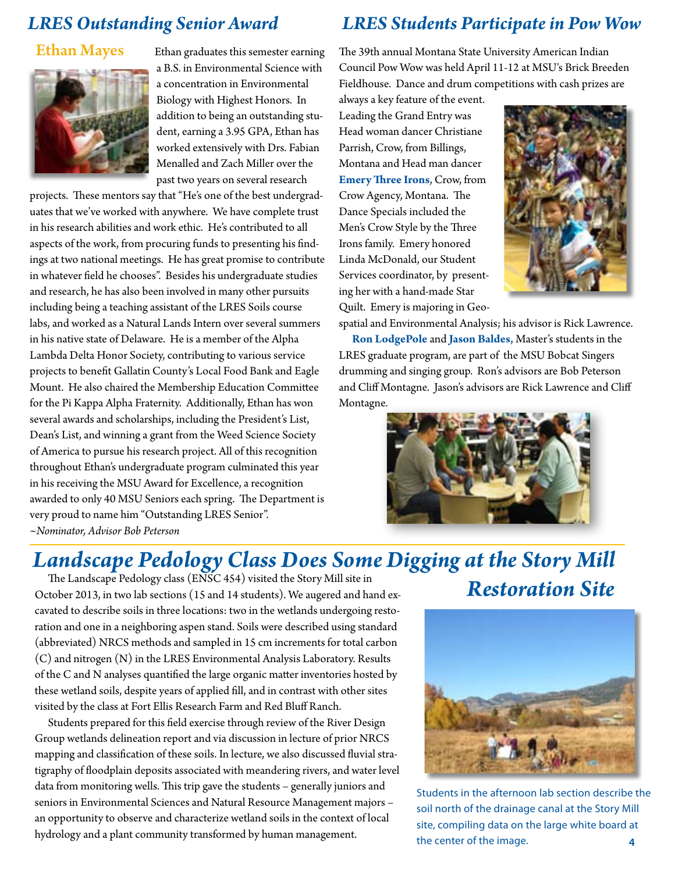### *LRES Outstanding Senior Award*

#### Ethan Mayes



Ethan graduates this semester earning a B.S. in Environmental Science with a concentration in Environmental Biology with Highest Honors. In addition to being an outstanding student, earning a 3.95 GPA, Ethan has worked extensively with Drs. Fabian Menalled and Zach Miller over the past two years on several research

projects. These mentors say that "He's one of the best undergraduates that we've worked with anywhere. We have complete trust in his research abilities and work ethic. He's contributed to all aspects of the work, from procuring funds to presenting his findings at two national meetings. He has great promise to contribute in whatever field he chooses". Besides his undergraduate studies and research, he has also been involved in many other pursuits including being a teaching assistant of the LRES Soils course labs, and worked as a Natural Lands Intern over several summers in his native state of Delaware. He is a member of the Alpha Lambda Delta Honor Society, contributing to various service projects to benefit Gallatin County's Local Food Bank and Eagle Mount. He also chaired the Membership Education Committee for the Pi Kappa Alpha Fraternity. Additionally, Ethan has won several awards and scholarships, including the President's List, Dean's List, and winning a grant from the Weed Science Society of America to pursue his research project. All of this recognition throughout Ethan's undergraduate program culminated this year in his receiving the MSU Award for Excellence, a recognition awarded to only 40 MSU Seniors each spring. The Department is very proud to name him "Outstanding LRES Senior". *~Nominator, Advisor Bob Peterson* 

### *LRES Students Participate in Pow Wow*

The 39th annual Montana State University American Indian Council Pow Wow was held April 11-12 at MSU's Brick Breeden Fieldhouse. Dance and drum competitions with cash prizes are

always a key feature of the event. Leading the Grand Entry was Head woman dancer Christiane Parrish, Crow, from Billings, Montana and Head man dancer **Emery Three Irons**, Crow, from Crow Agency, Montana. The Dance Specials included the Men's Crow Style by the Three Irons family. Emery honored Linda McDonald, our Student Services coordinator, by presenting her with a hand-made Star Quilt. Emery is majoring in Geo-



spatial and Environmental Analysis; his advisor is Rick Lawrence. **Ron LodgePole** and **Jason Baldes,** Master's students in the LRES graduate program, are part of the MSU Bobcat Singers drumming and singing group. Ron's advisors are Bob Peterson and Cliff Montagne. Jason's advisors are Rick Lawrence and Cliff Montagne.



# *Landscape Pedology Class Does Some Digging at the Story Mill*<br>The Landscape Pedology class (ENSC 454) visited the Story Mill site in

The Landscape Pedology class (ENSC 454) visited the Story Mill site in October 2013, in two lab sections (15 and 14 students). We augered and hand ex- **Restoration Site** cavated to describe soils in three locations: two in the wetlands undergoing restoration and one in a neighboring aspen stand. Soils were described using standard (abbreviated) NRCS methods and sampled in 15 cm increments for total carbon (C) and nitrogen (N) in the LRES Environmental Analysis Laboratory. Results of the C and N analyses quantified the large organic matter inventories hosted by these wetland soils, despite years of applied fill, and in contrast with other sites visited by the class at Fort Ellis Research Farm and Red Bluff Ranch.

Students prepared for this field exercise through review of the River Design Group wetlands delineation report and via discussion in lecture of prior NRCS mapping and classification of these soils. In lecture, we also discussed fluvial stratigraphy of floodplain deposits associated with meandering rivers, and water level data from monitoring wells. This trip gave the students – generally juniors and seniors in Environmental Sciences and Natural Resource Management majors – an opportunity to observe and characterize wetland soils in the context of local hydrology and a plant community transformed by human management.



**4**  Students in the afternoon lab section describe the soil north of the drainage canal at the Story Mill site, compiling data on the large white board at the center of the image.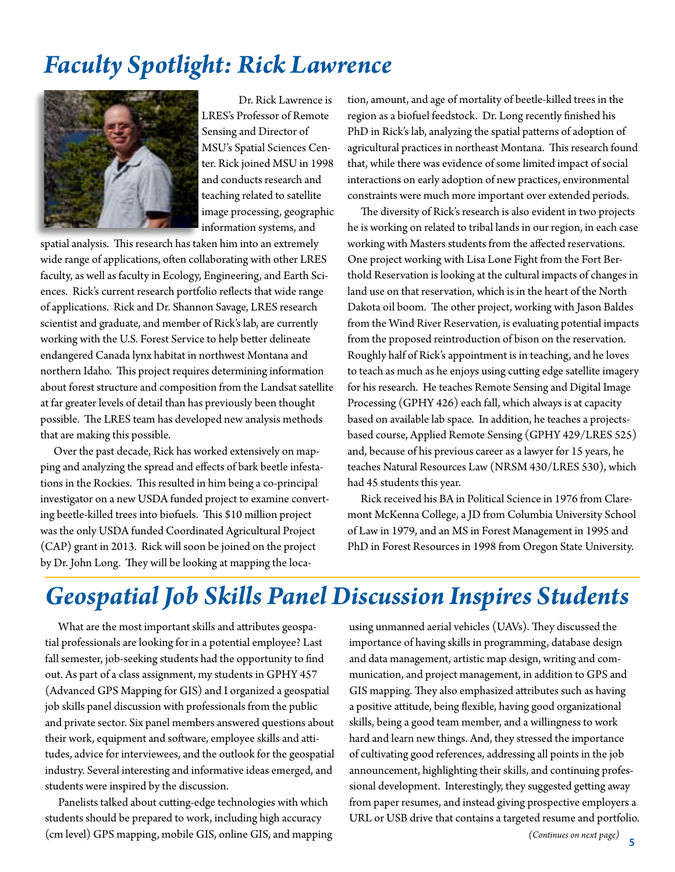### *Faculty Spotlight: Rick Lawrence*



Dr. Rick Lawrence is LRES's Professor of Remote Sensing and Director of MSU's Spatial Sciences Center. Rick joined MSU in 1998 and conducts research and teaching related to satellite image processing, geographic information systems, and

spatial analysis. This research has taken him into an extremely wide range of applications, often collaborating with other LRES faculty, as well as faculty in Ecology, Engineering, and Earth Sciences. Rick's current research portfolio reflects that wide range of applications. Rick and Dr. Shannon Savage, LRES research scientist and graduate, and member of Rick's lab, are currently working with the U.S. Forest Service to help better delineate endangered Canada lynx habitat in northwest Montana and northern Idaho. This project requires determining information about forest structure and composition from the Landsat satellite at far greater levels of detail than has previously been thought possible. The LRES team has developed new analysis methods that are making this possible.

Over the past decade, Rick has worked extensively on mapping and analyzing the spread and effects of bark beetle infestations in the Rockies. This resulted in him being a co-principal investigator on a new USDA funded project to examine converting beetle-killed trees into biofuels. This \$10 million project was the only USDA funded Coordinated Agricultural Project (CAP) grant in 2013. Rick will soon be joined on the project by Dr. John Long. They will be looking at mapping the loca-

tion, amount, and age of mortality of beetle-killed trees in the region as a biofuel feedstock. Dr. Long recently finished his PhD in Rick's lab, analyzing the spatial patterns of adoption of agricultural practices in northeast Montana. This research found that, while there was evidence of some limited impact of social interactions on early adoption of new practices, environmental constraints were much more important over extended periods.

The diversity of Rick's research is also evident in two projects he is working on related to tribal lands in our region, in each case working with Masters students from the affected reservations. One project working with Lisa Lone Fight from the Fort Berthold Reservation is looking at the cultural impacts of changes in land use on that reservation, which is in the heart of the North Dakota oil boom. The other project, working with Jason Baldes from the Wind River Reservation, is evaluating potential impacts from the proposed reintroduction of bison on the reservation. Roughly half of Rick's appointment is in teaching, and he loves to teach as much as he enjoys using cutting edge satellite imagery for his research. He teaches Remote Sensing and Digital Image Processing (GPHY 426) each fall, which always is at capacity based on available lab space. In addition, he teaches a projectsbased course, Applied Remote Sensing (GPHY 429/LRES 525) and, because of his previous career as a lawyer for 15 years, he teaches Natural Resources Law (NRSM 430/LRES 530), which had 45 students this year.

Rick received his BA in Political Science in 1976 from Claremont McKenna College, a JD from Columbia University School of Law in 1979, and an MS in Forest Management in 1995 and PhD in Forest Resources in 1998 from Oregon State University.

# *Geospatial Job Skills Panel Discussion Inspires Students*

What are the most important skills and attributes geospatial professionals are looking for in a potential employee? Last fall semester, job-seeking students had the opportunity to find out. As part of a class assignment, my students in GPHY 457 (Advanced GPS Mapping for GIS) and I organized a geospatial job skills panel discussion with professionals from the public and private sector. Six panel members answered questions about their work, equipment and software, employee skills and attitudes, advice for interviewees, and the outlook for the geospatial industry. Several interesting and informative ideas emerged, and students were inspired by the discussion.

Panelists talked about cutting-edge technologies with which students should be prepared to work, including high accuracy (cm level) GPS mapping, mobile GIS, online GIS, and mapping using unmanned aerial vehicles (UAVs). They discussed the importance of having skills in programming, database design and data management, artistic map design, writing and communication, and project management, in addition to GPS and GIS mapping. They also emphasized attributes such as having a positive attitude, being flexible, having good organizational skills, being a good team member, and a willingness to work hard and learn new things. And, they stressed the importance of cultivating good references, addressing all points in the job announcement, highlighting their skills, and continuing professional development. Interestingly, they suggested getting away from paper resumes, and instead giving prospective employers a URL or USB drive that contains a targeted resume and portfolio.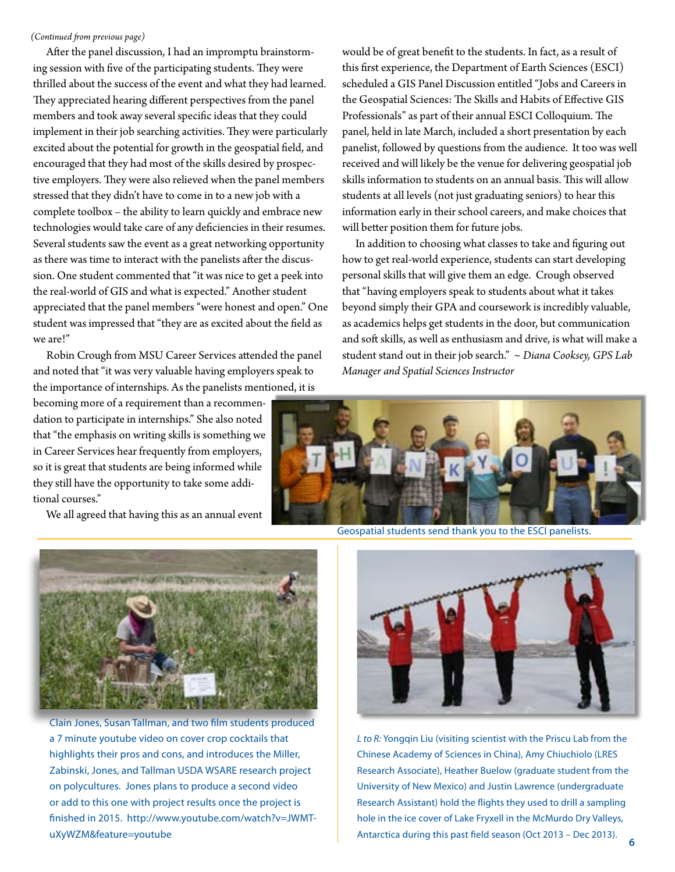#### *(Continued from previous page)*

After the panel discussion, I had an impromptu brainstorming session with five of the participating students. They were thrilled about the success of the event and what they had learned. They appreciated hearing different perspectives from the panel members and took away several specific ideas that they could implement in their job searching activities. They were particularly excited about the potential for growth in the geospatial field, and encouraged that they had most of the skills desired by prospective employers. They were also relieved when the panel members stressed that they didn't have to come in to a new job with a complete toolbox – the ability to learn quickly and embrace new technologies would take care of any deficiencies in their resumes. Several students saw the event as a great networking opportunity as there was time to interact with the panelists after the discussion. One student commented that "it was nice to get a peek into the real-world of GIS and what is expected." Another student appreciated that the panel members "were honest and open." One student was impressed that "they are as excited about the field as we are!"

Robin Crough from MSU Career Services attended the panel and noted that "it was very valuable having employers speak to the importance of internships. As the panelists mentioned, it is

becoming more of a requirement than a recommendation to participate in internships." She also noted that "the emphasis on writing skills is something we in Career Services hear frequently from employers, so it is great that students are being informed while they still have the opportunity to take some additional courses."

We all agreed that having this as an annual event

would be of great benefit to the students. In fact, as a result of this first experience, the Department of Earth Sciences (ESCI) scheduled a GIS Panel Discussion entitled "Jobs and Careers in the Geospatial Sciences: The Skills and Habits of Effective GIS Professionals" as part of their annual ESCI Colloquium. The panel, held in late March, included a short presentation by each panelist, followed by questions from the audience. It too was well received and will likely be the venue for delivering geospatial job skills information to students on an annual basis. This will allow students at all levels (not just graduating seniors) to hear this information early in their school careers, and make choices that will better position them for future jobs.

In addition to choosing what classes to take and figuring out how to get real-world experience, students can start developing personal skills that will give them an edge. Crough observed that "having employers speak to students about what it takes beyond simply their GPA and coursework is incredibly valuable, as academics helps get students in the door, but communication and soft skills, as well as enthusiasm and drive, is what will make a student stand out in their job search." *~ Diana Cooksey, GPS Lab Manager and Spatial Sciences Instructor*



Geospatial students send thank you to the ESCI panelists.



Clain Jones, Susan Tallman, and two film students produced a 7 minute youtube video on cover crop cocktails that highlights their pros and cons, and introduces the Miller, Zabinski, Jones, and Tallman USDA WSARE research project on polycultures. Jones plans to produce a second video or add to this one with project results once the project is finished in 2015. http://www.youtube.com/watch?v=JWMTuXyWZM&feature=youtube



*L to R:* Yongqin Liu (visiting scientist with the Priscu Lab from the Chinese Academy of Sciences in China), Amy Chiuchiolo (LRES Research Associate), Heather Buelow (graduate student from the University of New Mexico) and Justin Lawrence (undergraduate Research Assistant) hold the flights they used to drill a sampling hole in the ice cover of Lake Fryxell in the McMurdo Dry Valleys, Antarctica during this past field season (Oct 2013 – Dec 2013).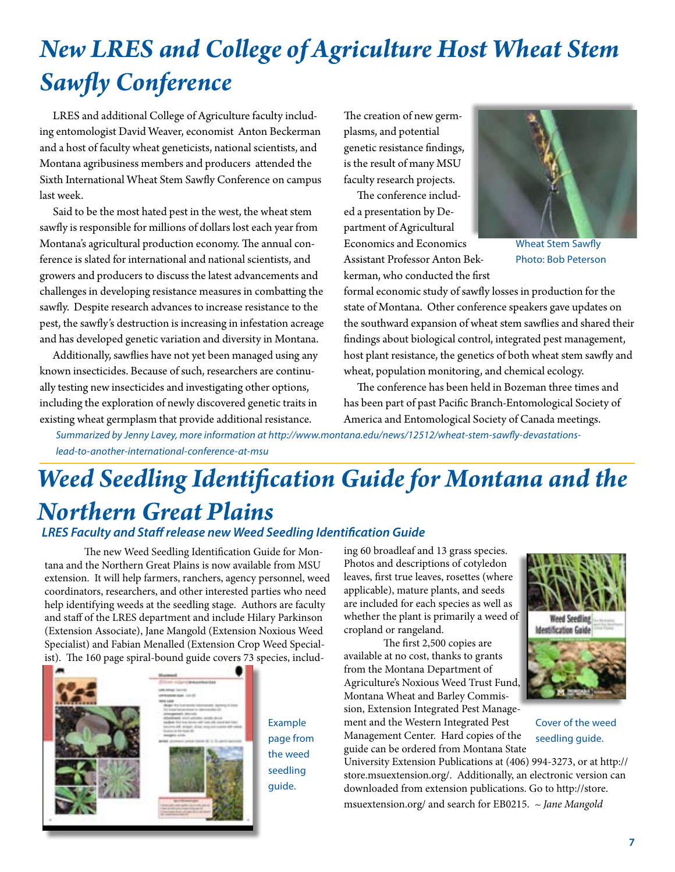# *New LRES and College of Agriculture Host Wheat Stem Sawfly Conference*

LRES and additional College of Agriculture faculty including entomologist David Weaver, economist Anton Beckerman and a host of faculty wheat geneticists, national scientists, and Montana agribusiness members and producers attended the Sixth International Wheat Stem Sawfly Conference on campus last week.

Said to be the most hated pest in the west, the wheat stem sawfly is responsible for millions of dollars lost each year from Montana's agricultural production economy. The annual conference is slated for international and national scientists, and growers and producers to discuss the latest advancements and challenges in developing resistance measures in combatting the sawfly. Despite research advances to increase resistance to the pest, the sawfly's destruction is increasing in infestation acreage and has developed genetic variation and diversity in Montana.

Additionally, sawflies have not yet been managed using any known insecticides. Because of such, researchers are continually testing new insecticides and investigating other options, including the exploration of newly discovered genetic traits in existing wheat germplasm that provide additional resistance.

The creation of new germplasms, and potential genetic resistance findings, is the result of many MSU faculty research projects.

The conference included a presentation by Department of Agricultural Economics and Economics

Assistant Professor Anton Bekkerman, who conducted the first



Wheat Stem Sawfly Photo: Bob Peterson

formal economic study of sawfly losses in production for the state of Montana. Other conference speakers gave updates on the southward expansion of wheat stem sawflies and shared their findings about biological control, integrated pest management, host plant resistance, the genetics of both wheat stem sawfly and wheat, population monitoring, and chemical ecology.

The conference has been held in Bozeman three times and has been part of past Pacific Branch-Entomological Society of America and Entomological Society of Canada meetings.

*Summarized by Jenny Lavey, more information at http://www.montana.edu/news/12512/wheat-stem-sawfly-devastationslead-to-another-international-conference-at-msu*

# *Weed Seedling Identification Guide for Montana and the Northern Great Plains*

#### *LRES Faculty and Staff release new Weed Seedling Identification Guide*

The new Weed Seedling Identification Guide for Montana and the Northern Great Plains is now available from MSU extension. It will help farmers, ranchers, agency personnel, weed coordinators, researchers, and other interested parties who need help identifying weeds at the seedling stage. Authors are faculty and staff of the LRES department and include Hilary Parkinson (Extension Associate), Jane Mangold (Extension Noxious Weed Specialist) and Fabian Menalled (Extension Crop Weed Specialist). The 160 page spiral-bound guide covers 73 species, includ-



Example page from the weed seedling guide.

ing 60 broadleaf and 13 grass species. Photos and descriptions of cotyledon leaves, first true leaves, rosettes (where applicable), mature plants, and seeds are included for each species as well as whether the plant is primarily a weed of cropland or rangeland.

The first 2,500 copies are available at no cost, thanks to grants from the Montana Department of Agriculture's Noxious Weed Trust Fund, Montana Wheat and Barley Commission, Extension Integrated Pest Management and the Western Integrated Pest Management Center. Hard copies of the guide can be ordered from Montana State



Cover of the weed

seedling guide.

**Weed Seedling Identification Guide**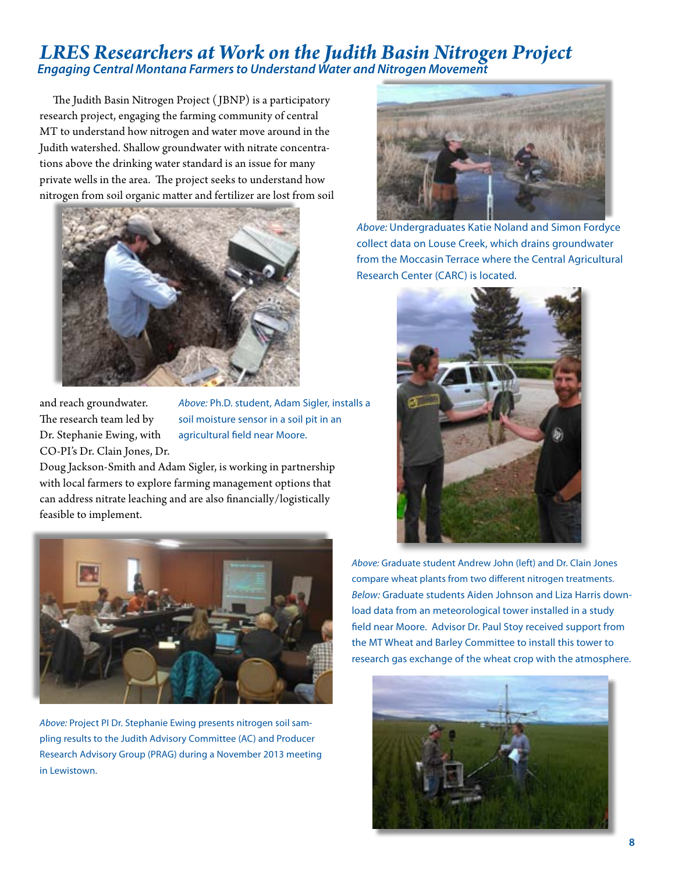### *LRES Researchers at Work on the Judith Basin Nitrogen Project Engaging Central Montana Farmers to Understand Water and Nitrogen Movement*

The Judith Basin Nitrogen Project ( JBNP) is a participatory research project, engaging the farming community of central MT to understand how nitrogen and water move around in the Judith watershed. Shallow groundwater with nitrate concentrations above the drinking water standard is an issue for many private wells in the area. The project seeks to understand how nitrogen from soil organic matter and fertilizer are lost from soil



and reach groundwater. The research team led by Dr. Stephanie Ewing, with CO-PI's Dr. Clain Jones, Dr.

*Above:* Ph.D. student, Adam Sigler, installs a soil moisture sensor in a soil pit in an agricultural field near Moore.

Doug Jackson-Smith and Adam Sigler, is working in partnership with local farmers to explore farming management options that can address nitrate leaching and are also financially/logistically feasible to implement.



*Above:* Project PI Dr. Stephanie Ewing presents nitrogen soil sampling results to the Judith Advisory Committee (AC) and Producer Research Advisory Group (PRAG) during a November 2013 meeting in Lewistown.



*Above:* Undergraduates Katie Noland and Simon Fordyce collect data on Louse Creek, which drains groundwater from the Moccasin Terrace where the Central Agricultural Research Center (CARC) is located.



*Above:* Graduate student Andrew John (left) and Dr. Clain Jones compare wheat plants from two different nitrogen treatments. *Below:* Graduate students Aiden Johnson and Liza Harris download data from an meteorological tower installed in a study field near Moore. Advisor Dr. Paul Stoy received support from the MT Wheat and Barley Committee to install this tower to research gas exchange of the wheat crop with the atmosphere.

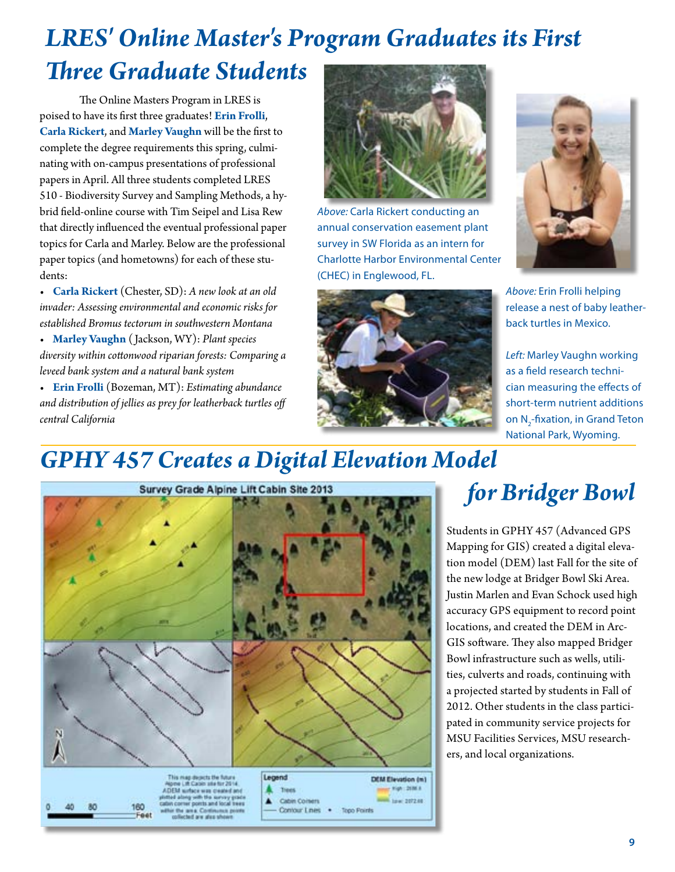# *LRES' Online Master's Program Graduates its First Three Graduate Students*

 The Online Masters Program in LRES is poised to have its first three graduates! **Erin Frolli**, **Carla Rickert**, and **Marley Vaughn** will be the first to complete the degree requirements this spring, culminating with on-campus presentations of professional papers in April. All three students completed LRES 510 - Biodiversity Survey and Sampling Methods, a hybrid field-online course with Tim Seipel and Lisa Rew that directly influenced the eventual professional paper topics for Carla and Marley. Below are the professional paper topics (and hometowns) for each of these students:

• **Carla Rickert** (Chester, SD): *A new look at an old invader: Assessing environmental and economic risks for established Bromus tectorum in southwestern Montana*

• **Marley Vaughn** ( Jackson, WY): *Plant species diversity within cottonwood riparian forests: Comparing a leveed bank system and a natural bank system*

• **Erin Frolli** (Bozeman, MT): *Estimating abundance and distribution of jellies as prey for leatherback turtles off central California* 



*Above:* Carla Rickert conducting an annual conservation easement plant survey in SW Florida as an intern for Charlotte Harbor Environmental Center (CHEC) in Englewood, FL.





*Above:* Erin Frolli helping release a nest of baby leatherback turtles in Mexico.

*Left:* Marley Vaughn working as a field research technician measuring the effects of short-term nutrient additions on N<sub>2</sub>-fixation, in Grand Teton National Park, Wyoming.

# *GPHY 457 Creates a Digital Elevation Model*



# *for Bridger Bowl*

Students in GPHY 457 (Advanced GPS Mapping for GIS) created a digital elevation model (DEM) last Fall for the site of the new lodge at Bridger Bowl Ski Area. Justin Marlen and Evan Schock used high accuracy GPS equipment to record point locations, and created the DEM in Arc-GIS software. They also mapped Bridger Bowl infrastructure such as wells, utilities, culverts and roads, continuing with a projected started by students in Fall of 2012. Other students in the class participated in community service projects for MSU Facilities Services, MSU researchers, and local organizations.